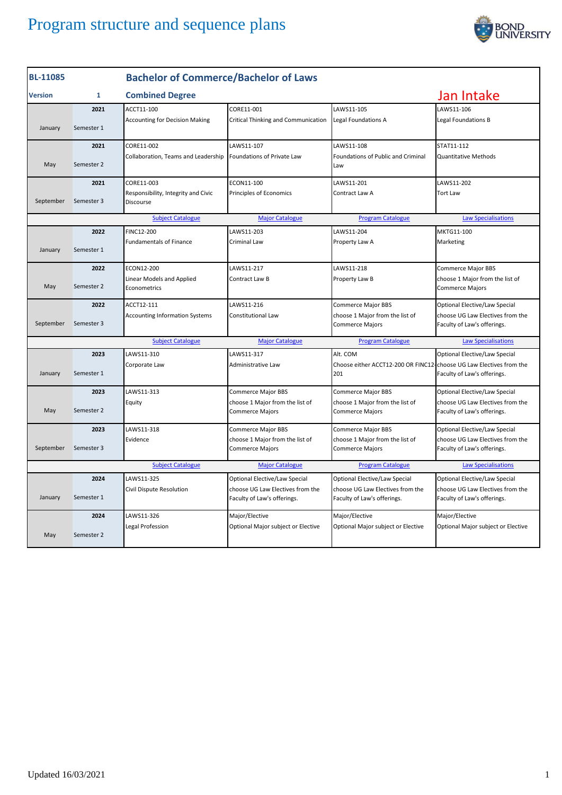

| <b>BL-11085</b>                                                                                              |              | <b>Bachelor of Commerce/Bachelor of Laws</b>     |                                                                 |                                                                            |                                                                 |  |
|--------------------------------------------------------------------------------------------------------------|--------------|--------------------------------------------------|-----------------------------------------------------------------|----------------------------------------------------------------------------|-----------------------------------------------------------------|--|
| <b>Version</b>                                                                                               | $\mathbf{1}$ | <b>Combined Degree</b>                           |                                                                 |                                                                            | Jan Intake                                                      |  |
|                                                                                                              | 2021         | ACCT11-100                                       | CORE11-001                                                      | LAWS11-105                                                                 | LAWS11-106                                                      |  |
| January                                                                                                      | Semester 1   | <b>Accounting for Decision Making</b>            | Critical Thinking and Communication                             | Legal Foundations A                                                        | Legal Foundations B                                             |  |
|                                                                                                              | 2021         | CORE11-002                                       | LAWS11-107                                                      | LAWS11-108                                                                 | STAT11-112                                                      |  |
| May                                                                                                          | Semester 2   | Collaboration, Teams and Leadership              | Foundations of Private Law                                      | <b>Foundations of Public and Criminal</b><br>Law                           | <b>Quantitative Methods</b>                                     |  |
|                                                                                                              | 2021         | CORE11-003                                       | ECON11-100                                                      | LAWS11-201                                                                 | LAWS11-202                                                      |  |
| September                                                                                                    | Semester 3   | Responsibility, Integrity and Civic<br>Discourse | Principles of Economics                                         | Contract Law A                                                             | <b>Tort Law</b>                                                 |  |
|                                                                                                              |              | <b>Subject Catalogue</b>                         | <b>Major Catalogue</b>                                          | <b>Program Catalogue</b>                                                   | <b>Law Specialisations</b>                                      |  |
|                                                                                                              | 2022         | <b>FINC12-200</b>                                | LAWS11-203                                                      | LAWS11-204                                                                 | MKTG11-100                                                      |  |
| January                                                                                                      | Semester 1   | <b>Fundamentals of Finance</b>                   | Criminal Law                                                    | Property Law A                                                             | Marketing                                                       |  |
|                                                                                                              | 2022         | ECON12-200                                       | LAWS11-217                                                      | LAWS11-218                                                                 | Commerce Major BBS                                              |  |
| May                                                                                                          | Semester 2   | Linear Models and Applied<br>Econometrics        | Contract Law B                                                  | Property Law B                                                             | choose 1 Major from the list of<br>Commerce Majors              |  |
|                                                                                                              | 2022         | ACCT12-111                                       | LAWS11-216                                                      | Commerce Major BBS                                                         | Optional Elective/Law Special                                   |  |
| September                                                                                                    | Semester 3   | <b>Accounting Information Systems</b>            | Constitutional Law                                              | choose 1 Major from the list of<br><b>Commerce Majors</b>                  | choose UG Law Electives from the<br>Faculty of Law's offerings. |  |
|                                                                                                              |              | <b>Subject Catalogue</b>                         | <b>Major Catalogue</b>                                          | <b>Program Catalogue</b>                                                   | <b>Law Specialisations</b>                                      |  |
|                                                                                                              | 2023         | LAWS11-310                                       | LAWS11-317                                                      | Alt. COM                                                                   | Optional Elective/Law Special                                   |  |
| January                                                                                                      | Semester 1   | Corporate Law                                    | Administrative Law                                              | Choose either ACCT12-200 OR FINC12-choose UG Law Electives from the<br>201 | Faculty of Law's offerings.                                     |  |
|                                                                                                              | 2023         | LAWS11-313                                       | Commerce Major BBS                                              | <b>Commerce Major BBS</b>                                                  | Optional Elective/Law Special                                   |  |
| May                                                                                                          | Semester 2   | Equity                                           | choose 1 Major from the list of<br><b>Commerce Majors</b>       | choose 1 Major from the list of<br><b>Commerce Majors</b>                  | choose UG Law Electives from the<br>Faculty of Law's offerings. |  |
|                                                                                                              | 2023         | LAWS11-318                                       | Commerce Major BBS                                              | Commerce Major BBS                                                         | Optional Elective/Law Special                                   |  |
| September                                                                                                    | Semester 3   | Evidence                                         | choose 1 Major from the list of<br>Commerce Majors              | choose 1 Major from the list of<br><b>Commerce Majors</b>                  | choose UG Law Electives from the<br>Faculty of Law's offerings. |  |
| <b>Subject Catalogue</b><br><b>Major Catalogue</b><br><b>Program Catalogue</b><br><b>Law Specialisations</b> |              |                                                  |                                                                 |                                                                            |                                                                 |  |
|                                                                                                              | 2024         | LAWS11-325                                       | Optional Elective/Law Special                                   | Optional Elective/Law Special                                              | Optional Elective/Law Special                                   |  |
| January                                                                                                      | Semester 1   | Civil Dispute Resolution                         | choose UG Law Electives from the<br>Faculty of Law's offerings. | choose UG Law Electives from the<br>Faculty of Law's offerings.            | choose UG Law Electives from the<br>Faculty of Law's offerings. |  |
|                                                                                                              | 2024         | LAWS11-326                                       | Major/Elective                                                  | Major/Elective                                                             | Major/Elective                                                  |  |
| May                                                                                                          | Semester 2   | Legal Profession                                 | Optional Major subject or Elective                              | Optional Major subject or Elective                                         | Optional Major subject or Elective                              |  |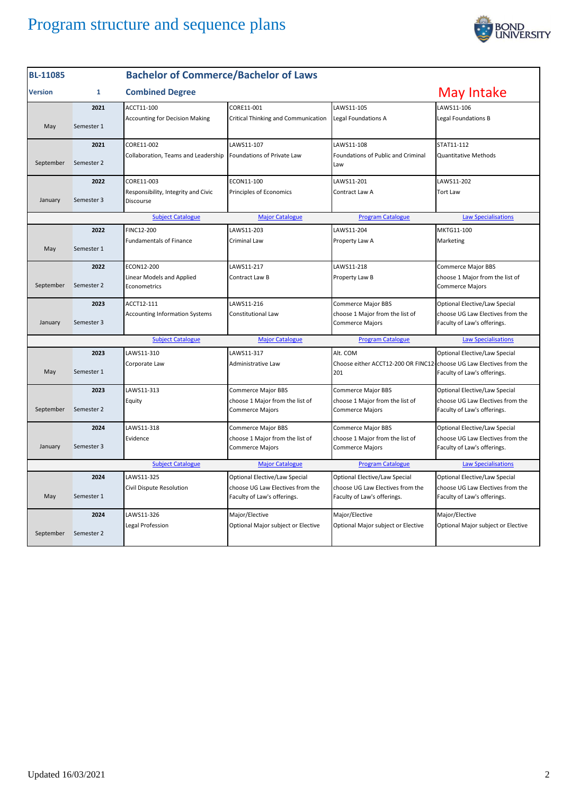

| <b>BL-11085</b>                                                                                              |              | <b>Bachelor of Commerce/Bachelor of Laws</b>     |                                                                 |                                                                            |                                                                 |
|--------------------------------------------------------------------------------------------------------------|--------------|--------------------------------------------------|-----------------------------------------------------------------|----------------------------------------------------------------------------|-----------------------------------------------------------------|
| <b>Version</b>                                                                                               | $\mathbf{1}$ | <b>Combined Degree</b>                           |                                                                 |                                                                            | May Intake                                                      |
|                                                                                                              | 2021         | ACCT11-100                                       | CORE11-001                                                      | LAWS11-105                                                                 | LAWS11-106                                                      |
| May                                                                                                          | Semester 1   | <b>Accounting for Decision Making</b>            | Critical Thinking and Communication                             | Legal Foundations A                                                        | Legal Foundations B                                             |
|                                                                                                              | 2021         | CORE11-002                                       | LAWS11-107                                                      | LAWS11-108                                                                 | STAT11-112                                                      |
| September                                                                                                    | Semester 2   | Collaboration, Teams and Leadership              | Foundations of Private Law                                      | Foundations of Public and Criminal<br>Law                                  | <b>Quantitative Methods</b>                                     |
|                                                                                                              | 2022         | CORE11-003                                       | ECON11-100                                                      | LAWS11-201                                                                 | LAWS11-202                                                      |
| January                                                                                                      | Semester 3   | Responsibility, Integrity and Civic<br>Discourse | Principles of Economics                                         | Contract Law A                                                             | <b>Tort Law</b>                                                 |
|                                                                                                              |              | <b>Subject Catalogue</b>                         | <b>Major Catalogue</b>                                          | <b>Program Catalogue</b>                                                   | <b>Law Specialisations</b>                                      |
|                                                                                                              | 2022         | FINC12-200                                       | LAWS11-203                                                      | LAWS11-204                                                                 | MKTG11-100                                                      |
| May                                                                                                          | Semester 1   | <b>Fundamentals of Finance</b>                   | Criminal Law                                                    | Property Law A                                                             | Marketing                                                       |
|                                                                                                              | 2022         | ECON12-200                                       | LAWS11-217                                                      | LAWS11-218                                                                 | <b>Commerce Major BBS</b>                                       |
| September                                                                                                    | Semester 2   | Linear Models and Applied<br>Econometrics        | Contract Law B                                                  | Property Law B                                                             | choose 1 Major from the list of<br><b>Commerce Majors</b>       |
|                                                                                                              | 2023         | ACCT12-111                                       | LAWS11-216                                                      | Commerce Major BBS                                                         | Optional Elective/Law Special                                   |
| January                                                                                                      | Semester 3   | <b>Accounting Information Systems</b>            | Constitutional Law                                              | choose 1 Major from the list of<br>Commerce Majors                         | choose UG Law Electives from the<br>Faculty of Law's offerings. |
|                                                                                                              |              | <b>Subject Catalogue</b>                         | <b>Major Catalogue</b>                                          | <b>Program Catalogue</b>                                                   | <b>Law Specialisations</b>                                      |
|                                                                                                              | 2023         | LAWS11-310                                       | LAWS11-317                                                      | Alt. COM                                                                   | Optional Elective/Law Special                                   |
| May                                                                                                          | Semester 1   | Corporate Law                                    | Administrative Law                                              | Choose either ACCT12-200 OR FINC12-choose UG Law Electives from the<br>201 | Faculty of Law's offerings.                                     |
|                                                                                                              | 2023         | LAWS11-313                                       | Commerce Major BBS                                              | Commerce Major BBS                                                         | Optional Elective/Law Special                                   |
| September                                                                                                    | Semester 2   | Equity                                           | choose 1 Major from the list of<br>Commerce Majors              | choose 1 Major from the list of<br><b>Commerce Majors</b>                  | choose UG Law Electives from the<br>Faculty of Law's offerings. |
|                                                                                                              | 2024         | LAWS11-318                                       | Commerce Major BBS                                              | Commerce Major BBS                                                         | Optional Elective/Law Special                                   |
| January                                                                                                      | Semester 3   | Evidence                                         | choose 1 Major from the list of<br><b>Commerce Majors</b>       | choose 1 Major from the list of<br><b>Commerce Majors</b>                  | choose UG Law Electives from the<br>Faculty of Law's offerings. |
| <b>Subject Catalogue</b><br><b>Major Catalogue</b><br><b>Program Catalogue</b><br><b>Law Specialisations</b> |              |                                                  |                                                                 |                                                                            |                                                                 |
|                                                                                                              | 2024         | LAWS11-325                                       | Optional Elective/Law Special                                   | Optional Elective/Law Special                                              | Optional Elective/Law Special                                   |
| May                                                                                                          | Semester 1   | Civil Dispute Resolution                         | choose UG Law Electives from the<br>Faculty of Law's offerings. | choose UG Law Electives from the<br>Faculty of Law's offerings.            | choose UG Law Electives from the<br>Faculty of Law's offerings. |
|                                                                                                              | 2024         | LAWS11-326                                       | Major/Elective                                                  | Major/Elective                                                             | Major/Elective                                                  |
| September                                                                                                    | Semester 2   | Legal Profession                                 | Optional Major subject or Elective                              | Optional Major subject or Elective                                         | Optional Major subject or Elective                              |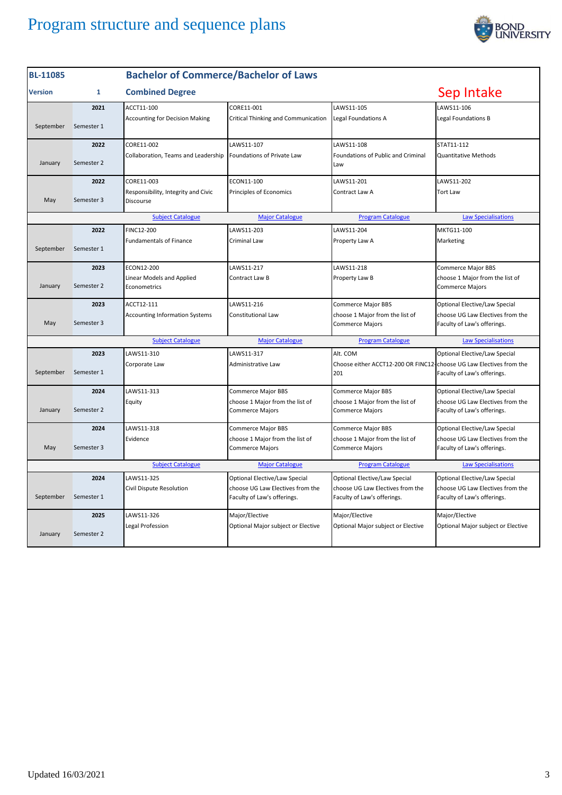

| <b>BL-11085</b>                                                                                              |              | <b>Bachelor of Commerce/Bachelor of Laws</b>     |                                                                 |                                                                 |                                                                 |
|--------------------------------------------------------------------------------------------------------------|--------------|--------------------------------------------------|-----------------------------------------------------------------|-----------------------------------------------------------------|-----------------------------------------------------------------|
| <b>Version</b>                                                                                               | $\mathbf{1}$ | <b>Combined Degree</b>                           |                                                                 |                                                                 | Sep Intake                                                      |
|                                                                                                              | 2021         | ACCT11-100                                       | CORE11-001                                                      | LAWS11-105                                                      | LAWS11-106                                                      |
| September                                                                                                    | Semester 1   | <b>Accounting for Decision Making</b>            | Critical Thinking and Communication                             | Legal Foundations A                                             | Legal Foundations B                                             |
|                                                                                                              | 2022         | CORE11-002                                       | LAWS11-107                                                      | LAWS11-108                                                      | STAT11-112                                                      |
| January                                                                                                      | Semester 2   | Collaboration, Teams and Leadership              | Foundations of Private Law                                      | Foundations of Public and Criminal<br>Law                       | <b>Quantitative Methods</b>                                     |
|                                                                                                              | 2022         | CORE11-003                                       | ECON11-100                                                      | LAWS11-201                                                      | LAWS11-202                                                      |
| May                                                                                                          | Semester 3   | Responsibility, Integrity and Civic<br>Discourse | Principles of Economics                                         | Contract Law A                                                  | <b>Tort Law</b>                                                 |
|                                                                                                              |              | <b>Subject Catalogue</b>                         | <b>Major Catalogue</b>                                          | <b>Program Catalogue</b>                                        | <b>Law Specialisations</b>                                      |
|                                                                                                              | 2022         | FINC12-200                                       | LAWS11-203                                                      | LAWS11-204                                                      | MKTG11-100                                                      |
| September                                                                                                    | Semester 1   | <b>Fundamentals of Finance</b>                   | Criminal Law                                                    | Property Law A                                                  | Marketing                                                       |
|                                                                                                              | 2023         | ECON12-200                                       | LAWS11-217                                                      | LAWS11-218                                                      | <b>Commerce Major BBS</b>                                       |
| January                                                                                                      | Semester 2   | Linear Models and Applied<br>Econometrics        | Contract Law B                                                  | Property Law B                                                  | choose 1 Major from the list of<br><b>Commerce Majors</b>       |
|                                                                                                              | 2023         | ACCT12-111                                       | LAWS11-216                                                      | <b>Commerce Major BBS</b>                                       | Optional Elective/Law Special                                   |
| May                                                                                                          | Semester 3   | <b>Accounting Information Systems</b>            | Constitutional Law                                              | choose 1 Major from the list of<br><b>Commerce Majors</b>       | choose UG Law Electives from the<br>Faculty of Law's offerings. |
|                                                                                                              |              | <b>Subject Catalogue</b>                         | <b>Major Catalogue</b>                                          | <b>Program Catalogue</b>                                        | <b>Law Specialisations</b>                                      |
|                                                                                                              | 2023         | LAWS11-310                                       | LAWS11-317                                                      | Alt. COM                                                        | Optional Elective/Law Special                                   |
| September                                                                                                    | Semester 1   | Corporate Law                                    | Administrative Law                                              | Choose either ACCT12-200 OR FINC12-<br>201                      | choose UG Law Electives from the<br>Faculty of Law's offerings. |
|                                                                                                              | 2024         | LAWS11-313                                       | <b>Commerce Major BBS</b>                                       | <b>Commerce Major BBS</b>                                       | Optional Elective/Law Special                                   |
| January                                                                                                      | Semester 2   | Equity                                           | choose 1 Major from the list of<br><b>Commerce Majors</b>       | choose 1 Major from the list of<br><b>Commerce Majors</b>       | choose UG Law Electives from the<br>Faculty of Law's offerings. |
|                                                                                                              | 2024         | LAWS11-318                                       | Commerce Major BBS                                              | Commerce Major BBS                                              | Optional Elective/Law Special                                   |
| May                                                                                                          | Semester 3   | Evidence                                         | choose 1 Major from the list of<br>Commerce Majors              | choose 1 Major from the list of<br><b>Commerce Majors</b>       | choose UG Law Electives from the<br>Faculty of Law's offerings. |
| <b>Subject Catalogue</b><br><b>Program Catalogue</b><br><b>Law Specialisations</b><br><b>Major Catalogue</b> |              |                                                  |                                                                 |                                                                 |                                                                 |
|                                                                                                              | 2024         | LAWS11-325                                       | Optional Elective/Law Special                                   | Optional Elective/Law Special                                   | Optional Elective/Law Special                                   |
| September                                                                                                    | Semester 1   | Civil Dispute Resolution                         | choose UG Law Electives from the<br>Faculty of Law's offerings. | choose UG Law Electives from the<br>Faculty of Law's offerings. | choose UG Law Electives from the<br>Faculty of Law's offerings. |
|                                                                                                              | 2025         | LAWS11-326                                       | Major/Elective                                                  | Major/Elective                                                  | Major/Elective                                                  |
| January                                                                                                      | Semester 2   | Legal Profession                                 | Optional Major subject or Elective                              | Optional Major subject or Elective                              | Optional Major subject or Elective                              |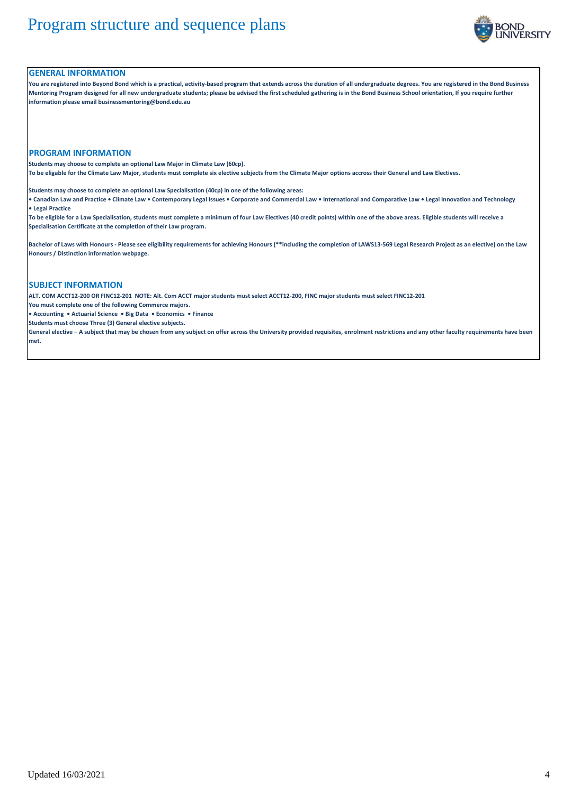

### **GENERAL INFORMATION**

**You are registered into Beyond Bond which is a practical, activity-based program that extends across the duration of all undergraduate degrees. You are registered in the Bond Business Mentoring Program designed for all new undergraduate students; please be advised the first scheduled gathering is in the Bond Business School orientation, If you require further information please email businessmentoring@bond.edu.au**

#### **PROGRAM INFORMATION**

**Students may choose to complete an optional Law Major in Climate Law (60cp).** 

**To be eligable for the Climate Law Major, students must complete six elective subjects from the Climate Major options accross their General and Law Electives.**

**Students may choose to complete an optional Law Specialisation (40cp) in one of the following areas:**

**• Canadian Law and Practice • Climate Law • Contemporary Legal Issues • Corporate and Commercial Law • International and Comparative Law • Legal Innovation and Technology • Legal Practice**

**To be eligible for a Law Specialisation, students must complete a minimum of four Law Electives (40 credit points) within one of the above areas. Eligible students will receive a Specialisation Certificate at the completion of their Law program.**

**Bachelor of Laws with Honours - Please see eligibility requirements for achieving Honours (\*\*including the completion of LAWS13-569 Legal Research Project as an elective) on the Law Honours / Distinction information webpage.**

### **SUBJECT INFORMATION**

**ALT. COM ACCT12-200 OR FINC12-201 NOTE: Alt. Com ACCT major students must select ACCT12-200, FINC major students must select FINC12-201**

**You must complete one of the following Commerce majors.** 

**• Accounting • Actuarial Science • Big Data • Economics • Finance**

**Students must choose Three (3) General elective subjects.**

**General elective – A subject that may be chosen from any subject on offer across the University provided requisites, enrolment restrictions and any other faculty requirements have been met.**